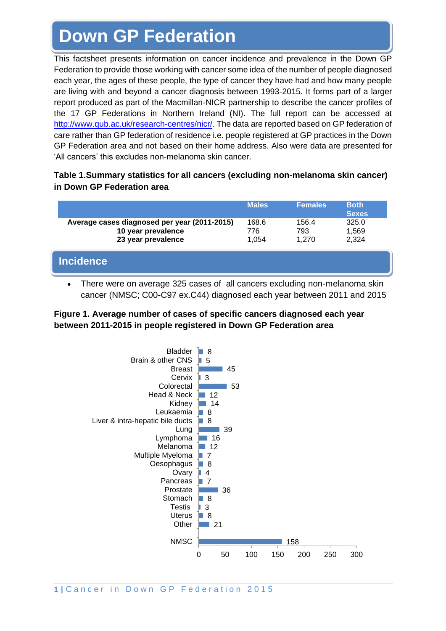# **Down GP Federation**

This factsheet presents information on cancer incidence and prevalence in the Down GP Federation to provide those working with cancer some idea of the number of people diagnosed each year, the ages of these people, the type of cancer they have had and how many people are living with and beyond a cancer diagnosis between 1993-2015. It forms part of a larger report produced as part of the Macmillan-NICR partnership to describe the cancer profiles of the 17 GP Federations in Northern Ireland (NI). The full report can be accessed at [http://www.qub.ac.uk/research-centres/nicr/.](http://www.qub.ac.uk/research-centres/nicr/) The data are reported based on GP federation of care rather than GP federation of residence i.e. people registered at GP practices in the Down GP Federation area and not based on their home address. Also were data are presented for 'All cancers' this excludes non-melanoma skin cancer.

#### **Table 1.Summary statistics for all cancers (excluding non-melanoma skin cancer) in Down GP Federation area**

|                                                                                          | <b>Males</b>          | <b>Females</b>        | <b>Both</b><br><b>Sexes</b> |
|------------------------------------------------------------------------------------------|-----------------------|-----------------------|-----------------------------|
| Average cases diagnosed per year (2011-2015)<br>10 year prevalence<br>23 year prevalence | 168.6<br>776<br>1.054 | 156.4<br>793<br>1.270 | 325.0<br>1,569<br>2,324     |
| <b>Incidence</b>                                                                         |                       |                       |                             |

• There were on average 325 cases of all cancers excluding non-melanoma skin cancer (NMSC; C00-C97 ex.C44) diagnosed each year between 2011 and 2015

#### **Figure 1. Average number of cases of specific cancers diagnosed each year between 2011-2015 in people registered in Down GP Federation area**

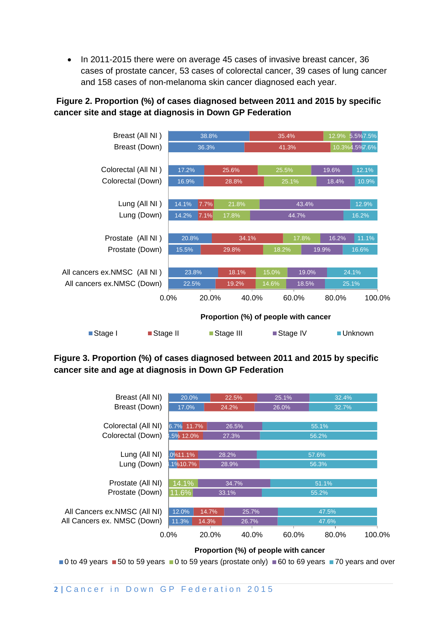• In 2011-2015 there were on average 45 cases of invasive breast cancer, 36 cases of prostate cancer, 53 cases of colorectal cancer, 39 cases of lung cancer and 158 cases of non-melanoma skin cancer diagnosed each year.

### **Figure 2. Proportion (%) of cases diagnosed between 2011 and 2015 by specific cancer site and stage at diagnosis in Down GP Federation**



#### **Figure 3. Proportion (%) of cases diagnosed between 2011 and 2015 by specific cancer site and age at diagnosis in Down GP Federation**



**Proportion (%) of people with cancer**

0 to 49 years  $\blacksquare$  50 to 59 years  $\blacksquare$  0 to 59 years (prostate only)  $\blacksquare$  60 to 69 years  $\blacksquare$  70 years and over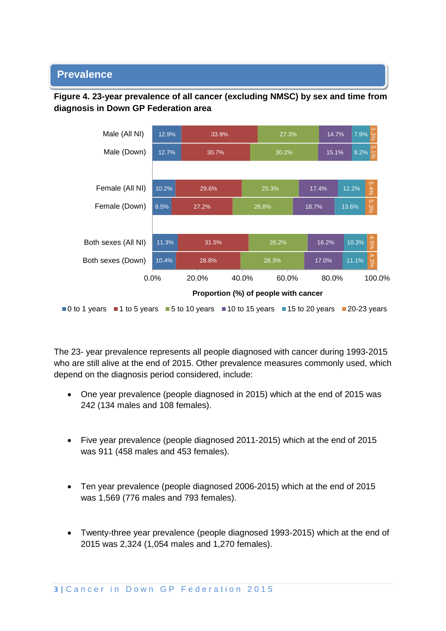## **Prevalence**



**Figure 4. 23-year prevalence of all cancer (excluding NMSC) by sex and time from diagnosis in Down GP Federation area**

The 23- year prevalence represents all people diagnosed with cancer during 1993-2015 who are still alive at the end of 2015. Other prevalence measures commonly used, which depend on the diagnosis period considered, include:

- One year prevalence (people diagnosed in 2015) which at the end of 2015 was 242 (134 males and 108 females).
- Five year prevalence (people diagnosed 2011-2015) which at the end of 2015 was 911 (458 males and 453 females).
- Ten year prevalence (people diagnosed 2006-2015) which at the end of 2015 was 1,569 (776 males and 793 females).
- Twenty-three year prevalence (people diagnosed 1993-2015) which at the end of 2015 was 2,324 (1,054 males and 1,270 females).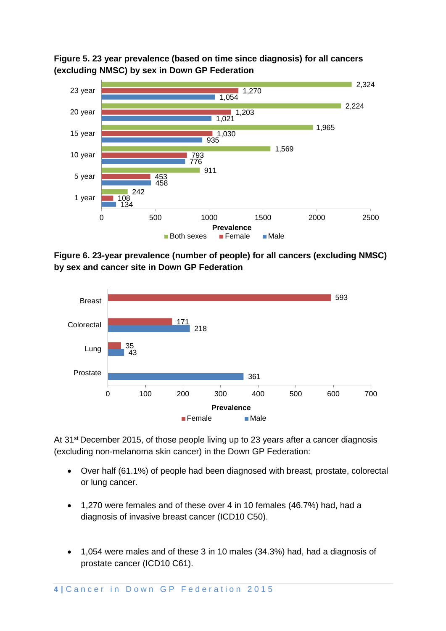



**Figure 6. 23-year prevalence (number of people) for all cancers (excluding NMSC) by sex and cancer site in Down GP Federation**



At 31<sup>st</sup> December 2015, of those people living up to 23 years after a cancer diagnosis (excluding non-melanoma skin cancer) in the Down GP Federation:

- Over half (61.1%) of people had been diagnosed with breast, prostate, colorectal or lung cancer.
- 1,270 were females and of these over 4 in 10 females (46.7%) had, had a diagnosis of invasive breast cancer (ICD10 C50).
- 1,054 were males and of these 3 in 10 males (34.3%) had, had a diagnosis of prostate cancer (ICD10 C61).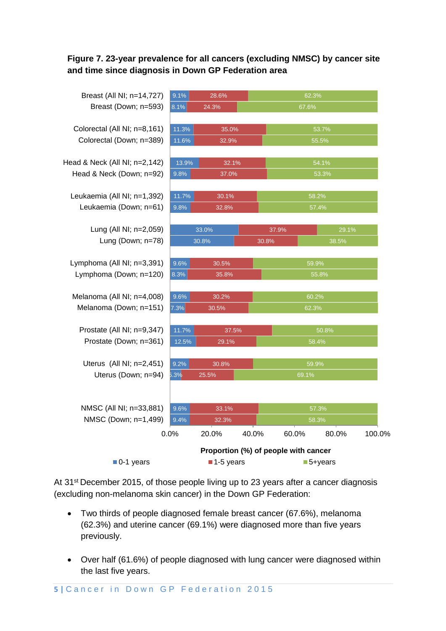#### **Figure 7. 23-year prevalence for all cancers (excluding NMSC) by cancer site and time since diagnosis in Down GP Federation area**



At 31<sup>st</sup> December 2015, of those people living up to 23 years after a cancer diagnosis (excluding non-melanoma skin cancer) in the Down GP Federation:

- Two thirds of people diagnosed female breast cancer (67.6%), melanoma (62.3%) and uterine cancer (69.1%) were diagnosed more than five years previously.
- Over half (61.6%) of people diagnosed with lung cancer were diagnosed within the last five years.